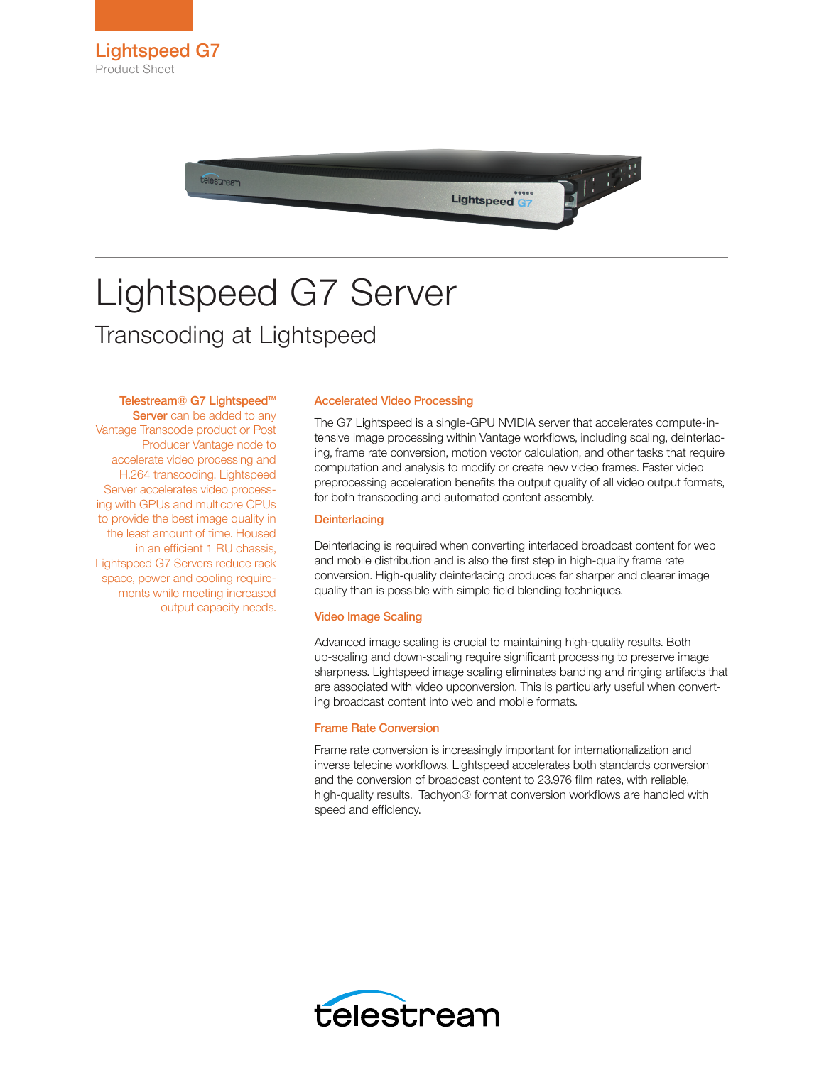

# Lightspeed G7 Server Transcoding at Lightspeed

Telestream® G7 Lightspeed™

Server can be added to any Vantage Transcode product or Post Producer Vantage node to accelerate video processing and H.264 transcoding. Lightspeed Server accelerates video processing with GPUs and multicore CPUs to provide the best image quality in the least amount of time. Housed in an efficient 1 RU chassis, Lightspeed G7 Servers reduce rack space, power and cooling requirements while meeting increased output capacity needs.

## Accelerated Video Processing

The G7 Lightspeed is a single-GPU NVIDIA server that accelerates compute-intensive image processing within Vantage workflows, including scaling, deinterlacing, frame rate conversion, motion vector calculation, and other tasks that require computation and analysis to modify or create new video frames. Faster video preprocessing acceleration benefits the output quality of all video output formats, for both transcoding and automated content assembly.

## **Deinterlacing**

Deinterlacing is required when converting interlaced broadcast content for web and mobile distribution and is also the first step in high-quality frame rate conversion. High-quality deinterlacing produces far sharper and clearer image quality than is possible with simple field blending techniques.

#### Video Image Scaling

Advanced image scaling is crucial to maintaining high-quality results. Both up-scaling and down-scaling require significant processing to preserve image sharpness. Lightspeed image scaling eliminates banding and ringing artifacts that are associated with video upconversion. This is particularly useful when converting broadcast content into web and mobile formats.

#### Frame Rate Conversion

Frame rate conversion is increasingly important for internationalization and inverse telecine workflows. Lightspeed accelerates both standards conversion and the conversion of broadcast content to 23.976 film rates, with reliable, high-quality results. Tachyon® format conversion workflows are handled with speed and efficiency.